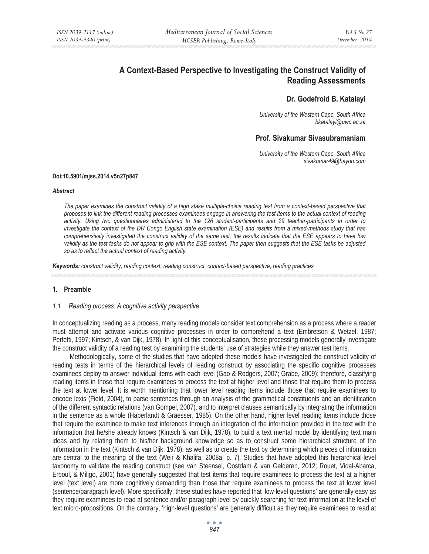# **A Context-Based Perspective to Investigating the Construct Validity of Reading Assessments**

## **Dr. Godefroid B. Katalayi**

*University of the Western Cape, South Africa bkatalayi@uwc.ac.za* 

## **Prof. Sivakumar Sivasubramaniam**

*University of the Western Cape, South Africa sivakumar49@hayoo.com* 

#### **Doi:10.5901/mjss.2014.v5n27p847**

#### *Abstract*

*The paper examines the construct validity of a high stake multiple-choice reading test from a context-based perspective that proposes to link the different reading processes examinees engage in answering the test items to the actual context of reading activity. Using two questionnaires administered to the 126 student-participants and 29 teacher-participants in order to investigate the context of the DR Congo English state examination (ESE) and results from a mixed-methods study that has comprehensively investigated the construct validity of the same test, the results indicate that the ESE appears to have low*  validity as the test tasks do not appear to grip with the ESE context. The paper then suggests that the ESE tasks be adjusted *so as to reflect the actual context of reading activity.* 

*Keywords: construct validity, reading context, reading construct, context-based perspective, reading practices*

### **1. Preamble**

#### *1.1 Reading process: A cognitive activity perspective*

In conceptualizing reading as a process, many reading models consider text comprehension as a process where a reader must attempt and activate various cognitive processes in order to comprehend a text (Embretson & Wetzel, 1987; Perfetti, 1997; Kintsch, & van Dijk, 1978). In light of this conceptualisation, these processing models generally investigate the construct validity of a reading test by examining the students' use of strategies while they answer test items.

Methodologically, some of the studies that have adopted these models have investigated the construct validity of reading tests in terms of the hierarchical levels of reading construct by associating the specific cognitive processes examinees deploy to answer individual items with each level (Gao & Rodgers, 2007; Grabe, 2009); therefore, classifying reading items in those that require examinees to process the text at higher level and those that require them to process the text at lower level. It is worth mentioning that lower level reading items include those that require examinees to encode lexis (Field, 2004), to parse sentences through an analysis of the grammatical constituents and an identification of the different syntactic relations (van Gompel, 2007), and to interpret clauses semantically by integrating the information in the sentence as a whole (Haberlandt & Graesser, 1985). On the other hand, higher level reading items include those that require the examinee to make text inferences through an integration of the information provided in the text with the information that he/she already knows (Kintsch & van Dijk, 1978), to build a text mental model by identifying text main ideas and by relating them to his/her background knowledge so as to construct some hierarchical structure of the information in the text (Kintsch & van Dijk, 1978); as well as to create the text by determining which pieces of information are central to the meaning of the text (Weir & Khalifa, 2008a, p. 7). Studies that have adopted this hierarchical-level taxonomy to validate the reading construct (see van Steensel, Oostdam & van Gelderen, 2012; Rouet, Vidal-Abarca, Erboul, & Miligo, 2001) have generally suggested that test items that require examinees to process the text at a higher level (text level) are more cognitively demanding than those that require examinees to process the text at lower level (sentence/paragraph level). More specifically, these studies have reported that 'low-level questions' are generally easy as they require examinees to read at sentence and/or paragraph level by quickly searching for text information at the level of text micro-propositions. On the contrary, 'high-level questions' are generally difficult as they require examinees to read at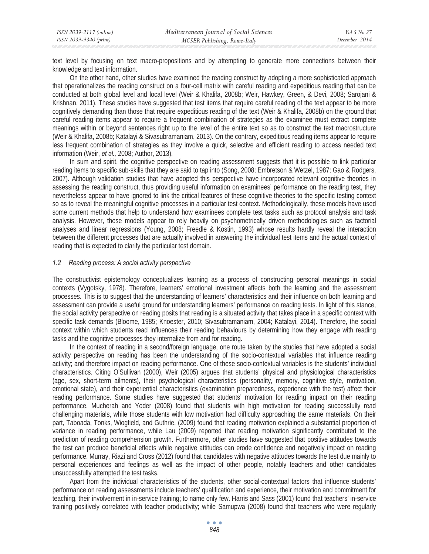text level by focusing on text macro-propositions and by attempting to generate more connections between their knowledge and text information.

On the other hand, other studies have examined the reading construct by adopting a more sophisticated approach that operationalizes the reading construct on a four-cell matrix with careful reading and expeditious reading that can be conducted at both global level and local level (Weir & Khalifa, 2008b; Weir, Hawkey, Green, & Devi, 2008; Sarojani & Krishnan, 2011). These studies have suggested that test items that require careful reading of the text appear to be more cognitively demanding than those that require expeditious reading of the text (Weir & Khalifa, 2008b) on the ground that careful reading items appear to require a frequent combination of strategies as the examinee must extract complete meanings within or beyond sentences right up to the level of the entire text so as to construct the text macrostructure (Weir & Khalifa, 2008b; Katalayi & Sivasubramaniam, 2013). On the contrary, expeditious reading items appear to require less frequent combination of strategies as they involve a quick, selective and efficient reading to access needed text information (Weir, *et al.,* 2008; Author, 2013).

In sum and spirit, the cognitive perspective on reading assessment suggests that it is possible to link particular reading items to specific sub-skills that they are said to tap into (Song, 2008; Embretson & Wetzel, 1987; Gao & Rodgers, 2007). Although validation studies that have adopted this perspective have incorporated relevant cognitive theories in assessing the reading construct, thus providing useful information on examinees' performance on the reading test, they nevertheless appear to have ignored to link the critical features of these cognitive theories to the specific testing context so as to reveal the meaningful cognitive processes in a particular test context. Methodologically, these models have used some current methods that help to understand how examinees complete test tasks such as protocol analysis and task analysis. However, these models appear to rely heavily on psychometrically driven methodologies such as factorial analyses and linear regressions (Young, 2008; Freedle & Kostin, 1993) whose results hardly reveal the interaction between the different processes that are actually involved in answering the individual test items and the actual context of reading that is expected to clarify the particular test domain.

### *1.2 Reading process: A social activity perspective*

The constructivist epistemology conceptualizes learning as a process of constructing personal meanings in social contexts (Vygotsky, 1978). Therefore, learners' emotional investment affects both the learning and the assessment processes. This is to suggest that the understanding of learners' characteristics and their influence on both learning and assessment can provide a useful ground for understanding learners' performance on reading tests. In light of this stance, the social activity perspective on reading posits that reading is a situated activity that takes place in a specific context with specific task demands (Bloome, 1985; Knoester, 2010; Sivasubramaniam, 2004; Katalayi, 2014). Therefore, the social context within which students read influences their reading behaviours by determining how they engage with reading tasks and the cognitive processes they internalize from and for reading.

In the context of reading in a second/foreign language, one route taken by the studies that have adopted a social activity perspective on reading has been the understanding of the socio-contextual variables that influence reading activity; and therefore impact on reading performance. One of these socio-contextual variables is the students' individual characteristics. Citing O'Sullivan (2000), Weir (2005) argues that students' physical and physiological characteristics (age, sex, short-term ailments), their psychological characteristics (personality, memory, cognitive style, motivation, emotional state), and their experiential characteristics (examination preparedness, experience with the test) affect their reading performance. Some studies have suggested that students' motivation for reading impact on their reading performance. Mucherah and Yoder (2008) found that students with high motivation for reading successfully read challenging materials, while those students with low motivation had difficulty approaching the same materials. On their part, Taboada, Tonks, Wiogfield, and Guthrie, (2009) found that reading motivation explained a substantial proportion of variance in reading performance, while Lau (2009) reported that reading motivation significantly contributed to the prediction of reading comprehension growth. Furthermore, other studies have suggested that positive attitudes towards the test can produce beneficial effects while negative attitudes can erode confidence and negatively impact on reading performance. Murray, Riazi and Cross (2012) found that candidates with negative attitudes towards the test due mainly to personal experiences and feelings as well as the impact of other people, notably teachers and other candidates unsuccessfully attempted the test tasks.

Apart from the individual characteristics of the students, other social-contextual factors that influence students' performance on reading assessments include teachers' qualification and experience, their motivation and commitment for teaching, their involvement in in-service training; to name only few. Harris and Sass (2001) found that teachers' in-service training positively correlated with teacher productivity; while Samupwa (2008) found that teachers who were regularly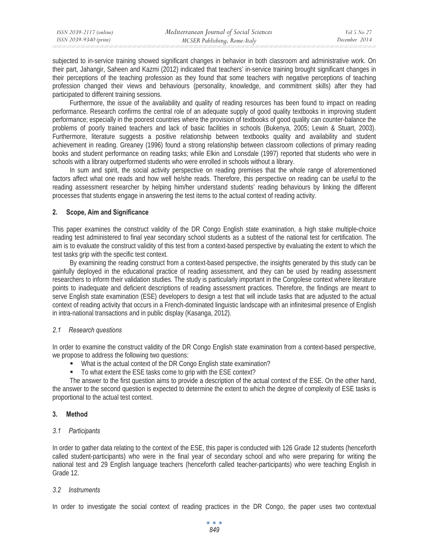subjected to in-service training showed significant changes in behavior in both classroom and administrative work. On their part, Jahangir, Saheen and Kazmi (2012) indicated that teachers' in-service training brought significant changes in their perceptions of the teaching profession as they found that some teachers with negative perceptions of teaching profession changed their views and behaviours (personality, knowledge, and commitment skills) after they had participated to different training sessions.

Furthermore, the issue of the availability and quality of reading resources has been found to impact on reading performance. Research confirms the central role of an adequate supply of good quality textbooks in improving student performance; especially in the poorest countries where the provision of textbooks of good quality can counter-balance the problems of poorly trained teachers and lack of basic facilities in schools (Bukenya, 2005; Lewin & Stuart, 2003). Furthermore, literature suggests a positive relationship between textbooks quality and availability and student achievement in reading. Greaney (1996) found a strong relationship between classroom collections of primary reading books and student performance on reading tasks; while Elkin and Lonsdale (1997) reported that students who were in schools with a library outperformed students who were enrolled in schools without a library.

In sum and spirit, the social activity perspective on reading premises that the whole range of aforementioned factors affect what one reads and how well he/she reads. Therefore, this perspective on reading can be useful to the reading assessment researcher by helping him/her understand students' reading behaviours by linking the different processes that students engage in answering the test items to the actual context of reading activity.

## **2. Scope, Aim and Significance**

This paper examines the construct validity of the DR Congo English state examination, a high stake multiple-choice reading test administered to final year secondary school students as a subtest of the national test for certification. The aim is to evaluate the construct validity of this test from a context-based perspective by evaluating the extent to which the test tasks grip with the specific test context.

By examining the reading construct from a context-based perspective, the insights generated by this study can be gainfully deployed in the educational practice of reading assessment, and they can be used by reading assessment researchers to inform their validation studies. The study is particularly important in the Congolese context where literature points to inadequate and deficient descriptions of reading assessment practices. Therefore, the findings are meant to serve English state examination (ESE) developers to design a test that will include tasks that are adjusted to the actual context of reading activity that occurs in a French-dominated linguistic landscape with an infinitesimal presence of English in intra-national transactions and in public display (Kasanga, 2012).

## *2.1 Research questions*

In order to examine the construct validity of the DR Congo English state examination from a context-based perspective, we propose to address the following two questions:

- What is the actual context of the DR Congo English state examination?
- To what extent the ESE tasks come to grip with the ESE context?

The answer to the first question aims to provide a description of the actual context of the ESE. On the other hand, the answer to the second question is expected to determine the extent to which the degree of complexity of ESE tasks is proportional to the actual test context.

## **3. Method**

## *3.1 Participants*

In order to gather data relating to the context of the ESE, this paper is conducted with 126 Grade 12 students (henceforth called student-participants) who were in the final year of secondary school and who were preparing for writing the national test and 29 English language teachers (henceforth called teacher-participants) who were teaching English in Grade 12.

### *3.2 Instruments*

In order to investigate the social context of reading practices in the DR Congo, the paper uses two contextual

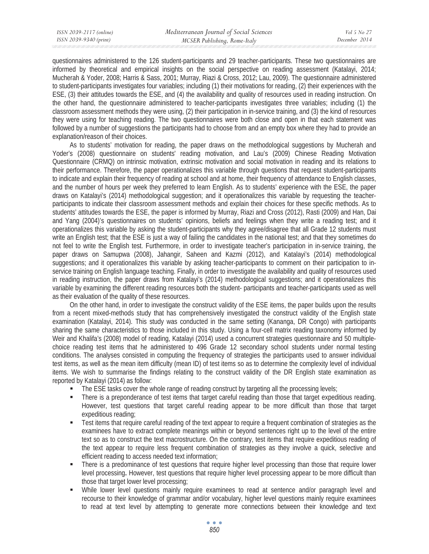questionnaires administered to the 126 student-participants and 29 teacher-participants. These two questionnaires are informed by theoretical and empirical insights on the social perspective on reading assessment (Katalayi, 2014; Mucherah & Yoder, 2008; Harris & Sass, 2001; Murray, Riazi & Cross, 2012; Lau, 2009). The questionnaire administered to student-participants investigates four variables; including (1) their motivations for reading, (2) their experiences with the ESE, (3) their attitudes towards the ESE, and (4) the availability and quality of resources used in reading instruction. On the other hand, the questionnaire administered to teacher-participants investigates three variables; including (1) the classroom assessment methods they were using, (2) their participation in in-service training, and (3) the kind of resources they were using for teaching reading. The two questionnaires were both close and open in that each statement was followed by a number of suggestions the participants had to choose from and an empty box where they had to provide an explanation/reason of their choices.

As to students' motivation for reading, the paper draws on the methodological suggestions by Mucherah and Yoder's (2008) questionnaire on students' reading motivation, and Lau's (2009) Chinese Reading Motivation Questionnaire (CRMQ) on intrinsic motivation, extrinsic motivation and social motivation in reading and its relations to their performance. Therefore, the paper operationalizes this variable through questions that request student-participants to indicate and explain their frequency of reading at school and at home, their frequency of attendance to English classes, and the number of hours per week they preferred to learn English. As to students' experience with the ESE, the paper draws on Katalayi's (2014) methodological suggestion; and it operationalizes this variable by requesting the teacherparticipants to indicate their classroom assessment methods and explain their choices for these specific methods. As to students' attitudes towards the ESE, the paper is informed by Murray, Riazi and Cross (2012), Rasti (2009) and Han, Dai and Yang (2004)'s questionnaires on students' opinions, beliefs and feelings when they write a reading test; and it operationalizes this variable by asking the student-participants why they agree/disagree that all Grade 12 students must write an English test; that the ESE is just a way of failing the candidates in the national test; and that they sometimes do not feel to write the English test. Furthermore, in order to investigate teacher's participation in in-service training, the paper draws on Samupwa (2008), Jahangir, Saheen and Kazmi (2012), and Katalayi's (2014) methodological suggestions; and it operationalizes this variable by asking teacher-participants to comment on their participation to inservice training on English language teaching. Finally, in order to investigate the availability and quality of resources used in reading instruction, the paper draws from Katalayi's (2014) methodological suggestions; and it operationalizes this variable by examining the different reading resources both the student- participants and teacher-participants used as well as their evaluation of the quality of these resources.

On the other hand, in order to investigate the construct validity of the ESE items, the paper builds upon the results from a recent mixed-methods study that has comprehensively investigated the construct validity of the English state examination (Katalayi, 2014). This study was conducted in the same setting (Kananga, DR Congo) with participants sharing the same characteristics to those included in this study. Using a four-cell matrix reading taxonomy informed by Weir and Khalifa's (2008) model of reading, Katalayi (2014) used a concurrent strategies questionnaire and 50 multiplechoice reading test items that he administered to 496 Grade 12 secondary school students under normal testing conditions. The analyses consisted in computing the frequency of strategies the participants used to answer individual test items, as well as the mean item difficulty (mean ID) of test items so as to determine the complexity level of individual items. We wish to summarise the findings relating to the construct validity of the DR English state examination as reported by Katalayi (2014) as follow:

- The ESE tasks cover the whole range of reading construct by targeting all the processing levels;
- There is a preponderance of test items that target careful reading than those that target expeditious reading. However, test questions that target careful reading appear to be more difficult than those that target expeditious reading;
- Test items that require careful reading of the text appear to require a frequent combination of strategies as the examinees have to extract complete meanings within or beyond sentences right up to the level of the entire text so as to construct the text macrostructure. On the contrary, test items that require expeditious reading of the text appear to require less frequent combination of strategies as they involve a quick, selective and efficient reading to access needed text information;
- There is a predominance of test questions that require higher level processing than those that require lower level processing**.** However, test questions that require higher level processing appear to be more difficult than those that target lower level processing;
- While lower level questions mainly require examinees to read at sentence and/or paragraph level and recourse to their knowledge of grammar and/or vocabulary, higher level questions mainly require examinees to read at text level by attempting to generate more connections between their knowledge and text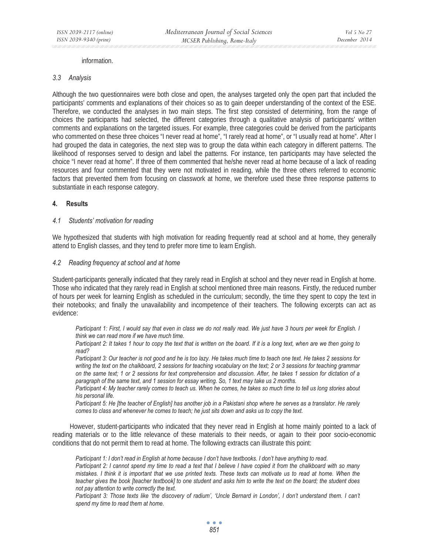#### information.

#### *3.3 Analysis*

Although the two questionnaires were both close and open, the analyses targeted only the open part that included the participants' comments and explanations of their choices so as to gain deeper understanding of the context of the ESE. Therefore, we conducted the analyses in two main steps. The first step consisted of determining, from the range of choices the participants had selected, the different categories through a qualitative analysis of participants' written comments and explanations on the targeted issues. For example, three categories could be derived from the participants who commented on these three choices "I never read at home", "I rarely read at home", or "I usually read at home". After I had grouped the data in categories, the next step was to group the data within each category in different patterns. The likelihood of responses served to design and label the patterns. For instance, ten participants may have selected the choice "I never read at home". If three of them commented that he/she never read at home because of a lack of reading resources and four commented that they were not motivated in reading, while the three others referred to economic factors that prevented them from focusing on classwork at home, we therefore used these three response patterns to substantiate in each response category.

#### **4. Results**

#### *4.1 Students' motivation for reading*

We hypothesized that students with high motivation for reading frequently read at school and at home, they generally attend to English classes, and they tend to prefer more time to learn English.

#### *4.2 Reading frequency at school and at home*

Student-participants generally indicated that they rarely read in English at school and they never read in English at home. Those who indicated that they rarely read in English at school mentioned three main reasons. Firstly, the reduced number of hours per week for learning English as scheduled in the curriculum; secondly, the time they spent to copy the text in their notebooks; and finally the unavailability and incompetence of their teachers. The following excerpts can act as evidence:

*Participant 1: First, I would say that even in class we do not really read. We just have 3 hours per week for English. I think we can read more if we have much time.* 

*Participant 2: It takes 1 hour to copy the text that is written on the board. If it is a long text, when are we then going to read?* 

*Participant 3: Our teacher is not good and he is too lazy. He takes much time to teach one text. He takes 2 sessions for writing the text on the chalkboard, 2 sessions for teaching vocabulary on the text; 2 or 3 sessions for teaching grammar on the same text; 1 or 2 sessions for text comprehension and discussion. After, he takes 1 session for dictation of a paragraph of the same text, and 1 session for essay writing. So, 1 text may take us 2 months.* 

*Participant 4: My teacher rarely comes to teach us. When he comes, he takes so much time to tell us long stories about his personal life.* 

*Participant 5: He [the teacher of English] has another job in a Pakistani shop where he serves as a translator. He rarely comes to class and whenever he comes to teach; he just sits down and asks us to copy the text.* 

However, student-participants who indicated that they never read in English at home mainly pointed to a lack of reading materials or to the little relevance of these materials to their needs, or again to their poor socio-economic conditions that do not permit them to read at home. The following extracts can illustrate this point:

*Participant 1: I don't read in English at home because I don't have textbooks. I don't have anything to read. Participant 2: I cannot spend my time to read a text that I believe I have copied it from the chalkboard with so many mistakes. I think it is important that we use printed texts. These texts can motivate us to read at home. When the teacher gives the book [teacher textbook] to one student and asks him to write the text on the board; the student does not pay attention to write correctly the text.* 

*Participant 3: Those texts like 'the discovery of radium', 'Uncle Bernard in London', I don't understand them. I can't spend my time to read them at home.*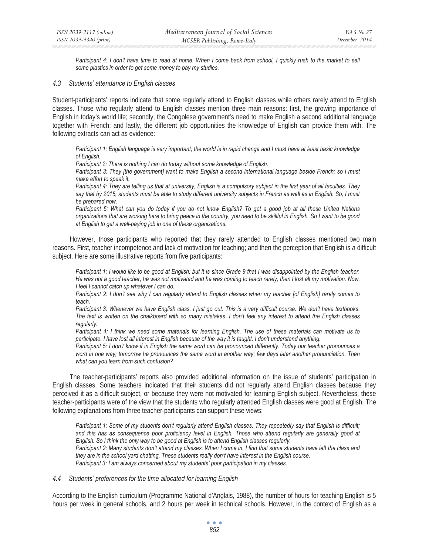*Participant 4: I don't have time to read at home. When I come back from school, I quickly rush to the market to sell some plastics in order to get some money to pay my studies.* 

#### *4.3 Students' attendance to English classes*

Student-participants' reports indicate that some regularly attend to English classes while others rarely attend to English classes. Those who regularly attend to English classes mention three main reasons: first, the growing importance of English in today's world life; secondly, the Congolese government's need to make English a second additional language together with French; and lastly, the different job opportunities the knowledge of English can provide them with. The following extracts can act as evidence:

*Participant 1: English language is very important; the world is in rapid change and I must have at least basic knowledge of English.* 

*Participant 2: There is nothing I can do today without some knowledge of English.* 

*Participant 3: They [the government] want to make English a second international language beside French; so I must make effort to speak it.* 

*Participant 4: They are telling us that at university, English is a compulsory subject in the first year of all faculties. They* say that by 2015, students must be able to study different university subjects in French as well as in English. So, I must *be prepared now.* 

*Participant 5: What can you do today if you do not know English? To get a good job at all these United Nations organizations that are working here to bring peace in the country, you need to be skillful in English. So I want to be good at English to get a well-paying job in one of these organizations.* 

However, those participants who reported that they rarely attended to English classes mentioned two main reasons. First, teacher incompetence and lack of motivation for teaching; and then the perception that English is a difficult subject. Here are some illustrative reports from five participants:

*Participant 1: I would like to be good at English; but it is since Grade 9 that I was disappointed by the English teacher. He was not a good teacher, he was not motivated and he was coming to teach rarely; then I lost all my motivation. Now, I feel I cannot catch up whatever I can do.* 

*Participant 2: I don't see why I can regularly attend to English classes when my teacher [of English] rarely comes to teach.* 

*Participant 3: Whenever we have English class, I just go out. This is a very difficult course. We don't have textbooks. The text is written on the chalkboard with so many mistakes. I don't feel any interest to attend the English classes regularly.* 

*Participant 4: I think we need some materials for learning English. The use of these materials can motivate us to participate. I have lost all interest in English because of the way it is taught. I don't understand anything.* 

*Participant 5: I don't know if in English the same word can be pronounced differently. Today our teacher pronounces a*  word in one way; tomorrow he pronounces the same word in another way; few days later another pronunciation. Then *what can you learn from such confusion?* 

The teacher-participants' reports also provided additional information on the issue of students' participation in English classes. Some teachers indicated that their students did not regularly attend English classes because they perceived it as a difficult subject, or because they were not motivated for learning English subject. Nevertheless, these teacher-participants were of the view that the students who regularly attended English classes were good at English. The following explanations from three teacher-participants can support these views:

*Participant 1: Some of my students don't regularly attend English classes. They repeatedly say that English is difficult; and this has as consequence poor proficiency level in English. Those who attend regularly are generally good at English. So I think the only way to be good at English is to attend English classes regularly. Participant 2: Many students don't attend my classes. When I come in, I find that some students have left the class and they are in the school yard chatting. These students really don't have interest in the English course. Participant 3: I am always concerned about my students' poor participation in my classes.* 

#### *4.4 Students' preferences for the time allocated for learning English*

According to the English curriculum (Programme National d'Anglais, 1988), the number of hours for teaching English is 5 hours per week in general schools, and 2 hours per week in technical schools. However, in the context of English as a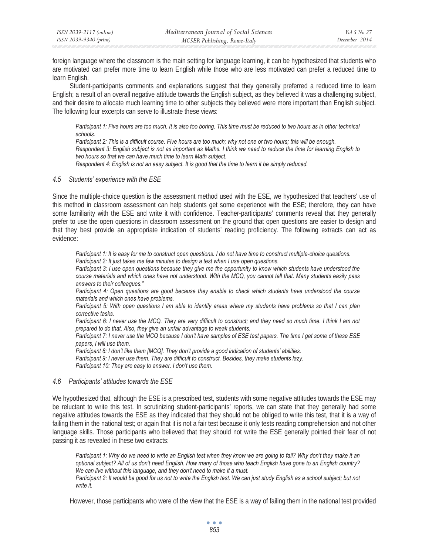foreign language where the classroom is the main setting for language learning, it can be hypothesized that students who are motivated can prefer more time to learn English while those who are less motivated can prefer a reduced time to learn English.

Student-participants comments and explanations suggest that they generally preferred a reduced time to learn English; a result of an overall negative attitude towards the English subject, as they believed it was a challenging subject, and their desire to allocate much learning time to other subjects they believed were more important than English subject. The following four excerpts can serve to illustrate these views:

*Participant 1: Five hours are too much. It is also too boring. This time must be reduced to two hours as in other technical schools.* 

*Participant 2: This is a difficult course. Five hours are too much; why not one or two hours; this will be enough. Respondent 3: English subject is not as important as Maths. I think we need to reduce the time for learning English to two hours so that we can have much time to learn Math subject.* 

*Respondent 4: English is not an easy subject. It is good that the time to learn it be simply reduced.* 

### *4.5 Students' experience with the ESE*

Since the multiple-choice question is the assessment method used with the ESE, we hypothesized that teachers' use of this method in classroom assessment can help students get some experience with the ESE; therefore, they can have some familiarity with the ESE and write it with confidence. Teacher-participants' comments reveal that they generally prefer to use the open questions in classroom assessment on the ground that open questions are easier to design and that they best provide an appropriate indication of students' reading proficiency. The following extracts can act as evidence:

*Participant 1: It is easy for me to construct open questions. I do not have time to construct multiple-choice questions. Participant 2: It just takes me few minutes to design a test when I use open questions.* 

*Participant 3: I use open questions because they give me the opportunity to know which students have understood the course materials and which ones have not understood. With the MCQ, you cannot tell that. Many students easily pass answers to their colleagues."* 

*Participant 4: Open questions are good because they enable to check which students have understood the course materials and which ones have problems.* 

*Participant 5: With open questions I am able to identify areas where my students have problems so that I can plan corrective tasks.* 

*Participant 6: I never use the MCQ. They are very difficult to construct; and they need so much time. I think I am not prepared to do that. Also, they give an unfair advantage to weak students.* 

*Participant 7: I never use the MCQ because I don't have samples of ESE test papers. The time I get some of these ESE papers, I will use them.* 

*Participant 8: I don't like them [MCQ]. They don't provide a good indication of students' abilities.* 

*Participant 9: I never use them. They are difficult to construct. Besides, they make students lazy. Participant 10: They are easy to answer. I don't use them.* 

### *4.6 Participants' attitudes towards the ESE*

We hypothesized that, although the ESE is a prescribed test, students with some negative attitudes towards the ESE may be reluctant to write this test. In scrutinizing student-participants' reports, we can state that they generally had some negative attitudes towards the ESE as they indicated that they should not be obliged to write this test, that it is a way of failing them in the national test; or again that it is not a fair test because it only tests reading comprehension and not other language skills. Those participants who believed that they should not write the ESE generally pointed their fear of not passing it as revealed in these two extracts:

*Participant 1: Why do we need to write an English test when they know we are going to fail? Why don't they make it an optional subject? All of us don't need English. How many of those who teach English have gone to an English country? We can live without this language, and they don't need to make it a must.* 

*Participant 2: It would be good for us not to write the English test. We can just study English as a school subject; but not write it.* 

However, those participants who were of the view that the ESE is a way of failing them in the national test provided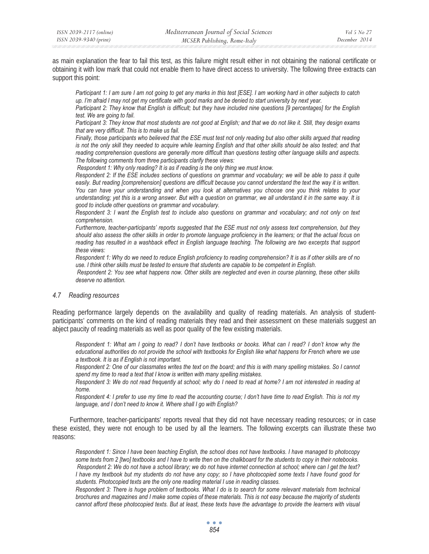as main explanation the fear to fail this test, as this failure might result either in not obtaining the national certificate or obtaining it with low mark that could not enable them to have direct access to university. The following three extracts can support this point:

*Participant 1: I am sure I am not going to get any marks in this test [ESE]. I am working hard in other subjects to catch up. I'm afraid I may not get my certificate with good marks and be denied to start university by next year.* 

*Participant 2: They know that English is difficult; but they have included nine questions [9 percentages] for the English test. We are going to fail.* 

*Participant 3: They know that most students are not good at English; and that we do not like it. Still, they design exams that are very difficult. This is to make us fail.* 

*Finally, those participants who believed that the ESE must test not only reading but also other skills argued that reading*  is not the only skill they needed to acquire while learning English and that other skills should be also tested; and that *reading comprehension questions are generally more difficult than questions testing other language skills and aspects. The following comments from three participants clarify these views:* 

 *Respondent 1: Why only reading? It is as if reading is the only thing we must know.* 

*Respondent 2: If the ESE includes sections of questions on grammar and vocabulary; we will be able to pass it quite*  easily. But reading [comprehension] questions are difficult because you cannot understand the text the way it is written. *You can have your understanding and when you look at alternatives you choose one you think relates to your understanding; yet this is a wrong answer. But with a question on grammar, we all understand it in the same way. It is good to include other questions on grammar and vocabulary.* 

*Respondent 3: I want the English test to include also questions on grammar and vocabulary; and not only on text comprehension.* 

*Furthermore, teacher-participants' reports suggested that the ESE must not only assess text comprehension, but they should also assess the other skills in order to promote language proficiency in the learners; or that the actual focus on*  reading has resulted in a washback effect in English language teaching. The following are two excerpts that support *these views:* 

*Respondent 1: Why do we need to reduce English proficiency to reading comprehension? It is as if other skills are of no use. I think other skills must be tested to ensure that students are capable to be competent in English.* 

 *Respondent 2: You see what happens now. Other skills are neglected and even in course planning, these other skills deserve no attention.* 

#### *4.7 Reading resources*

Reading performance largely depends on the availability and quality of reading materials. An analysis of studentparticipants' comments on the kind of reading materials they read and their assessment on these materials suggest an abject paucity of reading materials as well as poor quality of the few existing materials.

*Respondent 1: What am I going to read? I don't have textbooks or books. What can I read? I don't know why the educational authorities do not provide the school with textbooks for English like what happens for French where we use a textbook. It is as if English is not important.* 

*Respondent 2: One of our classmates writes the text on the board; and this is with many spelling mistakes. So I cannot spend my time to read a text that I know is written with many spelling mistakes.* 

*Respondent 3: We do not read frequently at school; why do I need to read at home? I am not interested in reading at home.* 

*Respondent 4: I prefer to use my time to read the accounting course; I don't have time to read English. This is not my language, and I don't need to know it. Where shall I go with English?* 

Furthermore, teacher-participants' reports reveal that they did not have necessary reading resources; or in case these existed, they were not enough to be used by all the learners. The following excerpts can illustrate these two reasons:

*Respondent 1: Since I have been teaching English, the school does not have textbooks. I have managed to photocopy some texts from 2 [two] textbooks and I have to write then on the chalkboard for the students to copy in their notebooks. Respondent 2: We do not have a school library; we do not have internet connection at school; where can I get the text? I have my textbook but my students do not have any copy; so I have photocopied some texts I have found good for students. Photocopied texts are the only one reading material I use in reading classes.* 

*Respondent 3: There is huge problem of textbooks. What I do is to search for some relevant materials from technical brochures and magazines and I make some copies of these materials. This is not easy because the majority of students cannot afford these photocopied texts. But at least, these texts have the advantage to provide the learners with visual*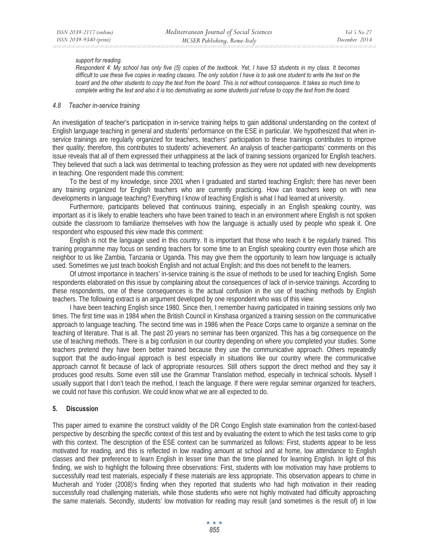#### *support for reading.*

*Respondent 4: My school has only five (5) copies of the textbook. Yet, I have 53 students in my class. It becomes difficult to use these five copies in reading classes. The only solution I have is to ask one student to write the text on the board and the other students to copy the text from the board. This is not without consequence. It takes so much time to complete writing the text and also it is too demotivating as some students just refuse to copy the text from the board.* 

#### *4.8 Teacher in-service training*

An investigation of teacher's participation in in-service training helps to gain additional understanding on the context of English language teaching in general and students' performance on the ESE in particular. We hypothesized that when inservice trainings are regularly organized for teachers, teachers' participation to these trainings contributes to improve their quality; therefore, this contributes to students' achievement. An analysis of teacher-participants' comments on this issue reveals that all of them expressed their unhappiness at the lack of training sessions organized for English teachers. They believed that such a lack was detrimental to teaching profession as they were not updated with new developments in teaching. One respondent made this comment:

To the best of my knowledge, since 2001 when I graduated and started teaching English; there has never been any training organized for English teachers who are currently practicing. How can teachers keep on with new developments in language teaching? Everything I know of teaching English is what I had learned at university.

Furthermore, participants believed that continuous training, especially in an English speaking country, was important as it is likely to enable teachers who have been trained to teach in an environment where English is not spoken outside the classroom to familiarize themselves with how the language is actually used by people who speak it. One respondent who espoused this view made this comment:

English is not the language used in this country. It is important that those who teach it be regularly trained. This training programme may focus on sending teachers for some time to an English speaking country even those which are neighbor to us like Zambia, Tanzania or Uganda. This may give them the opportunity to learn how language is actually used. Sometimes we just teach bookish English and not actual English; and this does not benefit to the learners*.* 

Of utmost importance in teachers' in-service training is the issue of methods to be used for teaching English. Some respondents elaborated on this issue by complaining about the consequences of lack of in-service trainings. According to these respondents, one of these consequences is the actual confusion in the use of teaching methods by English teachers. The following extract is an argument developed by one respondent who was of this view:

I have been teaching English since 1980. Since then, I remember having participated in training sessions only two times. The first time was in 1984 when the British Council in Kinshasa organized a training session on the communicative approach to language teaching. The second time was in 1986 when the Peace Corps came to organize a seminar on the teaching of literature. That is all. The past 20 years no seminar has been organized. This has a big consequence on the use of teaching methods. There is a big confusion in our country depending on where you completed your studies. Some teachers pretend they have been better trained because they use the communicative approach. Others repeatedly support that the audio-lingual approach is best especially in situations like our country where the communicative approach cannot fit because of lack of appropriate resources. Still others support the direct method and they say it produces good results. Some even still use the Grammar Translation method, especially in technical schools. Myself I usually support that I don't teach the method, I teach the language. If there were regular seminar organized for teachers, we could not have this confusion. We could know what we are all expected to do.

#### **5. Discussion**

This paper aimed to examine the construct validity of the DR Congo English state examination from the context-based perspective by describing the specific context of this test and by evaluating the extent to which the test tasks come to grip with this context. The description of the ESE context can be summarized as follows: First, students appear to be less motivated for reading, and this is reflected in low reading amount at school and at home, low attendance to English classes and their preference to learn English in lesser time than the time planned for learning English. In light of this finding, we wish to highlight the following three observations: First, students with low motivation may have problems to successfully read test materials, especially if these materials are less appropriate. This observation appears to chime in Mucherah and Yoder (2008)'s finding when they reported that students who had high motivation in their reading successfully read challenging materials, while those students who were not highly motivated had difficulty approaching the same materials. Secondly, students' low motivation for reading may result (and sometimes is the result of) in low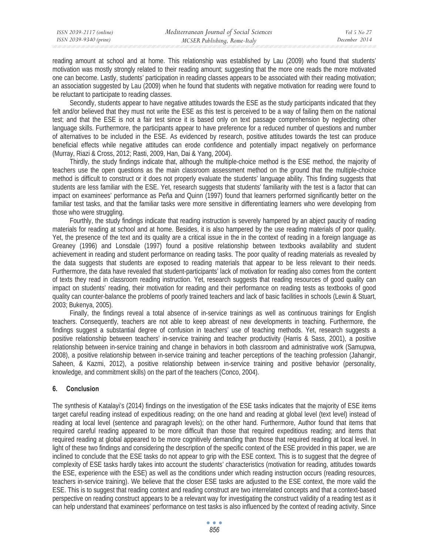reading amount at school and at home. This relationship was established by Lau (2009) who found that students' motivation was mostly strongly related to their reading amount; suggesting that the more one reads the more motivated one can become. Lastly, students' participation in reading classes appears to be associated with their reading motivation; an association suggested by Lau (2009) when he found that students with negative motivation for reading were found to be reluctant to participate to reading classes.

Secondly, students appear to have negative attitudes towards the ESE as the study participants indicated that they felt and/or believed that they must not write the ESE as this test is perceived to be a way of failing them on the national test; and that the ESE is not a fair test since it is based only on text passage comprehension by neglecting other language skills. Furthermore, the participants appear to have preference for a reduced number of questions and number of alternatives to be included in the ESE. As evidenced by research, positive attitudes towards the test can produce beneficial effects while negative attitudes can erode confidence and potentially impact negatively on performance (Murray, Riazi & Cross, 2012; Rasti, 2009, Han, Dai & Yang, 2004).

Thirdly, the study findings indicate that, although the multiple-choice method is the ESE method, the majority of teachers use the open questions as the main classroom assessment method on the ground that the multiple-choice method is difficult to construct or it does not properly evaluate the students' language ability. This finding suggests that students are less familiar with the ESE. Yet, research suggests that students' familiarity with the test is a factor that can impact on examinees' performance as Peña and Quinn (1997) found that learners performed significantly better on the familiar test tasks, and that the familiar tasks were more sensitive in differentiating learners who were developing from those who were struggling.

Fourthly, the study findings indicate that reading instruction is severely hampered by an abject paucity of reading materials for reading at school and at home. Besides, it is also hampered by the use reading materials of poor quality. Yet, the presence of the text and its quality are a critical issue in the in the context of reading in a foreign language as Greaney (1996) and Lonsdale (1997) found a positive relationship between textbooks availability and student achievement in reading and student performance on reading tasks. The poor quality of reading materials as revealed by the data suggests that students are exposed to reading materials that appear to be less relevant to their needs. Furthermore, the data have revealed that student-participants' lack of motivation for reading also comes from the content of texts they read in classroom reading instruction. Yet, research suggests that reading resources of good quality can impact on students' reading, their motivation for reading and their performance on reading tests as textbooks of good quality can counter-balance the problems of poorly trained teachers and lack of basic facilities in schools (Lewin & Stuart, 2003; Bukenya, 2005).

Finally, the findings reveal a total absence of in-service trainings as well as continuous trainings for English teachers. Consequently, teachers are not able to keep abreast of new developments in teaching. Furthermore, the findings suggest a substantial degree of confusion in teachers' use of teaching methods. Yet, research suggests a positive relationship between teachers' in-service training and teacher productivity (Harris & Sass, 2001), a positive relationship between in-service training and change in behaviors in both classroom and administrative work (Samupwa, 2008), a positive relationship between in-service training and teacher perceptions of the teaching profession (Jahangir, Saheen, & Kazmi, 2012), a positive relationship between in-service training and positive behavior (personality, knowledge, and commitment skills) on the part of the teachers (Conco, 2004).

### **6. Conclusion**

The synthesis of Katalayi's (2014) findings on the investigation of the ESE tasks indicates that the majority of ESE items target careful reading instead of expeditious reading; on the one hand and reading at global level (text level) instead of reading at local level (sentence and paragraph levels); on the other hand. Furthermore, Author found that items that required careful reading appeared to be more difficult than those that required expeditious reading; and items that required reading at global appeared to be more cognitively demanding than those that required reading at local level. In light of these two findings and considering the description of the specific context of the ESE provided in this paper, we are inclined to conclude that the ESE tasks do not appear to grip with the ESE context. This is to suggest that the degree of complexity of ESE tasks hardly takes into account the students' characteristics (motivation for reading, attitudes towards the ESE, experience with the ESE) as well as the conditions under which reading instruction occurs (reading resources, teachers in-service training). We believe that the closer ESE tasks are adjusted to the ESE context, the more valid the ESE. This is to suggest that reading context and reading construct are two interrelated concepts and that a context-based perspective on reading construct appears to be a relevant way for investigating the construct validity of a reading test as it can help understand that examinees' performance on test tasks is also influenced by the context of reading activity. Since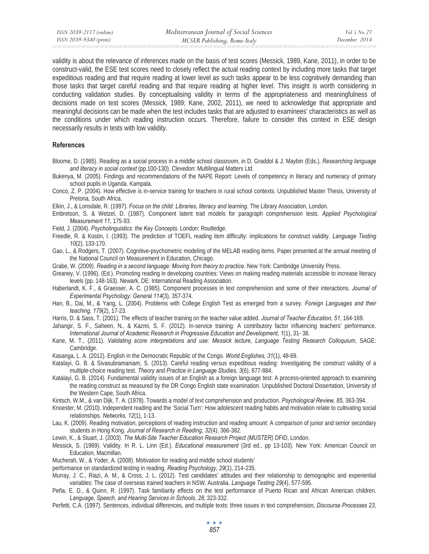validity is about the relevance of inferences made on the basis of test scores (Messick, 1989, Kane, 2011), in order to be construct-valid, the ESE test scores need to closely reflect the actual reading context by including more tasks that target expeditious reading and that require reading at lower level as such tasks appear to be less cognitively demanding than those tasks that target careful reading and that require reading at higher level. This insight is worth considering in conducting validation studies. By conceptualising validity in terms of the appropriateness and meaningfulness of decisions made on test scores (Messick, 1989; Kane, 2002, 2011), we need to acknowledge that appropriate and meaningful decisions can be made when the test includes tasks that are adjusted to examinees' characteristics as well as the conditions under which reading instruction occurs. Therefore, failure to consider this context in ESE design necessarily results in tests with low validity.

### **References**

- Bloome, D. (1985). Reading as a social process in a middle school classroom, in D. Graddol & J. Maybin (Eds.), *Researching language and literacy in social context* (pp.100-130). Clevedon: Multilingual Matters Ltd.
- Bukenya, M. (2005). Findings and recommendations of the NAPE Report: Levels of competency in literacy and numeracy of primary school pupils in Uganda. Kampala.
- Conco, Z. P. (2004). How effective is in-service training for teachers in rural school contexts. Unpublished Master Thesis, University of Pretoria, South Africa.
- Elkin, J., & Lonsdale, R. (1997). *Focus on the child: Libraries, literacy and learning*. The Library Association, London.
- Embretson, S. & Wetzel, D. (1987). Component latent trait models for paragraph comprehension tests. *Applied Psychological Measurement 11*, 175-93.
- Field, J. (2004). *Psycholinguistics: the Key Concepts*. London: Routledge.
- Freedle, R. & Kostin, I. (1993). The prediction of TOEFL reading item difficulty: implications for construct validity. *Language Testing 10*(2), 133-170.
- Gao, L., & Rodgers, T. (2007). Cognitive-psychometric modeling of the MELAB reading items. Paper presented at the annual meeting of the National Council on Measurement in Education, Chicago.
- Grabe, W. (2009). *Reading in a second language: Moving from theory to practice*. New York: Cambridge University Press.
- Greaney, V. (1996). (Ed.). Promoting reading in developing countries: Views on making reading materials accessible to increase literacy levels (pp. 148-163). Newark, DE: International Reading Association.
- Haberlandt, K. F., & Graesser, A. C. (1985). Component processes in text comprehension and some of their interactions. *Journal of Experimental Psychology: General 114*(3), 357-374.
- Han, B., Dai, M., & Yang, L. (2004). Problems with College English Test as emerged from a survey. *Foreign Languages and their teaching, 179*(2), 17-23.
- Harris, D. & Sass, T. (2001). The effects of teacher training on the teacher value added. *Journal of Teacher Education, 51*, 164-169.
- Jahangir, S. F., Saheen, N., & Kazmi, S. F. (2012). In-service training: A contributory factor influencing teachers' performance. *International Journal of Academic Research in Progressive Education and Development, 1*(1), 31- 38.
- Kane, M. T., (2011). *Validating score interpretations and use: Messick lecture, Language Testing Research Colloquium*, SAGE: Cambridge.
- Kasanga, L. A. (2012). English in the Democratic Republic of the Congo. *World Englishes, 31*(1), 48-69.
- Katalayi, G. B. & Sivasubramaniam, S. (2013). Careful reading versus expeditious reading: Investigating the construct validity of a multiple-choice reading test. *Theory and Practice in Language Studies, 3*(6), 877-884.
- Katalayi, G. B. (2014). Fundamental validity issues of an English as a foreign language test: A process-oriented approach to examining the reading construct as measured by the DR Congo English state examination. Unpublished Doctoral Dissertation, University of the Western Cape, South Africa.
- Kintsch, W.M., & van Dijk, T. A. (1978). Towards a model of text comprehension and production. *Psychological Review, 85*, 363-394.
- Knoester, M. (2010). Independent reading and the 'Social Turn': How adolescent reading habits and motivation relate to cultivating social relationships. *Networks, 12*(1), 1-13.
- Lau, K. (2009). Reading motivation, perceptions of reading instruction and reading amount: A comparison of junior and senior secondary students in Hong Kong. *Journal of Research in Reading, 32*(4), 366-382.
- Lewin, K., & Stuart, J. (2003). *The Multi-Site Teacher Education Research Project (MUSTER)* DFID, London.
- Messick, S. (1989). Validity. In R. L. Linn (Ed.). *Educational measurement* (3rd ed., pp 13-103). New York: American Council on Education, Macmillan.
- Mucherah, W., & Yoder, A. (2008). Motivation for reading and middle school students'
- performance on standardized testing in reading. *Reading Psychology, 29(1), 214-235.*
- Murray, J. C., Riazi, A. M., & Cross, J. L. (2012). Test candidates' attitudes and their relationship to demographic and experiential variables: The case of overseas trained teachers in NSW, Australia. *Language Testing 29*(4), 577-595.
- Peña, E. D., & Quinn, R. (1997). Task familiarity effects on the test performance of Puerto Rican and African American children. *Language, Speech, and Hearing Services in Schools*, *28*, 323-332.
- Perfetti, C.A. (1997). Sentences, individual differences, and multiple texts: three issues in text comprehension, *Discourse Processes 23*,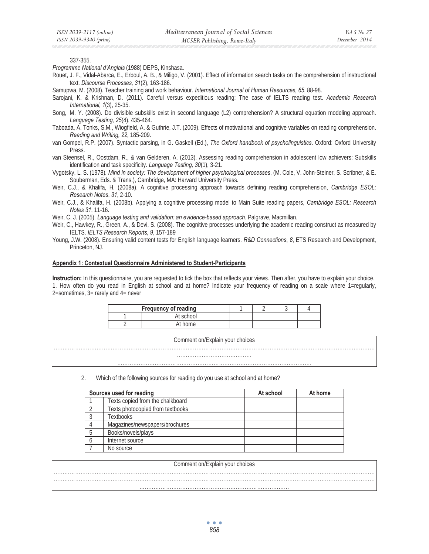337-355.

*Programme National d'Anglais* (1988) DEPS, Kinshasa.

Rouet, J. F., Vidal-Abarca, E., Erboul, A. B., & Miligo, V. (2001). Effect of information search tasks on the comprehension of instructional text. *Discourse Processes, 31*(2), 163-186.

Samupwa, M. (2008). Teacher training and work behaviour. *International Journal of Human Resources, 65*, 88-98.

Sarojani, K. & Krishnan, D. (2011). Careful versus expeditious reading: The case of IELTS reading test. *Academic Research International, 1*(3), 25-35.

- Song, M. Y. (2008). Do divisible subskills exist in second language (L2) comprehension? A structural equation modeling approach. *Language Testing, 25*(4), 435-464.
- Taboada, A. Tonks, S.M., Wiogfield, A. & Guthrie, J.T. (2009). Effects of motivational and cognitive variables on reading comprehension. *Reading and Writing, 22*, 185-209.
- van Gompel, R.P. (2007). Syntactic parsing, in G. Gaskell (Ed.), *The Oxford handbook of psycholinguistics*. Oxford: Oxford University Press.
- van Steensel, R., Oostdam, R., & van Gelderen, A. (2013). Assessing reading comprehension in adolescent low achievers: Subskills identification and task specificity. *Language Testing, 30*(1), 3-21.
- Vygotsky, L. S. (1978)*. Mind in society: The development of higher psychological processes*, (M. Cole, V. John-Steiner, S. Scribner, & E. Souberman, Eds. & Trans.), Cambridge, MA: Harvard University Press.
- Weir, C.J., & Khalifa, H. (2008a). A cognitive processing approach towards defining reading comprehension, *Cambridge ESOL: Research Notes*, *31*, 2-10.
- Weir, C.J., & Khalifa, H. (2008b). Applying a cognitive processing model to Main Suite reading papers, *Cambridge ESOL: Research Notes 31*, 11-16.

Weir, C. J. (2005). *Language testing and validation: an evidence-based approach*. Palgrave, Macmillan.

- Weir, C., Hawkey, R., Green, A., & Devi, S. (2008). The cognitive processes underlying the academic reading construct as measured by IELTS. *IELTS Research Reports, 9*, 157-189
- Young, J.W. (2008). Ensuring valid content tests for English language learners. *R&D Connections*, *8*, ETS Research and Development, Princeton, NJ.

#### **Appendix 1: Contextual Questionnaire Administered to Student-Participants**

**Instruction:** In this questionnaire, you are requested to tick the box that reflects your views. Then after, you have to explain your choice. 1. How often do you read in English at school and at home? Indicate your frequency of reading on a scale where 1=regularly, 2=sometimes, 3= rarely and 4= never

| <b>Frequency of reading</b> |           |  |  |
|-----------------------------|-----------|--|--|
|                             | At school |  |  |
|                             | At home   |  |  |

Comment on/Explain your choices

……………………………………

………………………………………………………………………………………………………………………………………………………………

……………………………………………………………………………………………….

2. Which of the following sources for reading do you use at school and at home?

| Sources used for reading |                                  | At school | At home |
|--------------------------|----------------------------------|-----------|---------|
|                          | Texts copied from the chalkboard |           |         |
|                          | Texts photocopied from textbooks |           |         |
|                          | <b>Textbooks</b>                 |           |         |
|                          | Magazines/newspapers/brochures   |           |         |
|                          | Books/novels/plays               |           |         |
|                          | Internet source                  |           |         |
|                          | No source                        |           |         |

### Comment on/Explain your choices ……………………………………………………………………………………………………………………………………………………………… ……………………………………………………………………………………………………………………………………………………………… …………………………………………………………………………

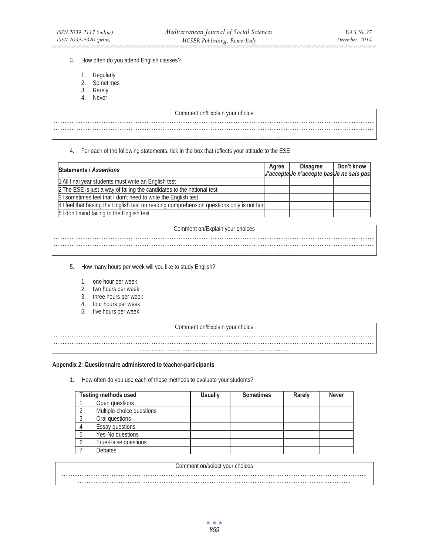#### 3. How often do you attend English classes?

- 1. Regularly
- 2. Sometimes
- 3. Rarely
- 4. Never

## Comment on/Explain your choice

#### 4. For each of the following statements, tick in the box that reflects your attitude to the ESE

| <b>Statements / Assertions</b>                                                          |  | <b>Disagree</b>                           | Don't know |
|-----------------------------------------------------------------------------------------|--|-------------------------------------------|------------|
|                                                                                         |  | J'accepte Je n'accepte pas Je ne sais pas |            |
| 1 All final year students must write an English test                                    |  |                                           |            |
| 2 The ESE is just a way of failing the candidates to the national test                  |  |                                           |            |
| 3 Sometimes feel that I don't need to write the English test                            |  |                                           |            |
| 4 feel that basing the English test on reading comprehension questions only is not fair |  |                                           |            |
| 5 don't mind failing to the English test                                                |  |                                           |            |

#### Comment on/Explain your choices

………………………………………………………………………………………………………………………………………………………………

…………………………………………………………………………

5. How many hours per week will you like to study English?

- 1. one hour per week
- 2. two hours per week
- 3. three hours per week
- 4. four hours per week
- 5. five hours per week

#### Comment on/Explain your choice ………………………………………………………………………………………………………………………………………………………………

……………………………………………………………………………………………………………………………………………………………… …………………………………………………………………………

## **Appendix 2: Questionnaire administered to teacher-participants**

1. How often do you use each of these methods to evaluate your students?

| <b>Testing methods used</b> |                           | <b>Usually</b> | <b>Sometimes</b> | Rarely | <b>Never</b> |
|-----------------------------|---------------------------|----------------|------------------|--------|--------------|
|                             | Open questions            |                |                  |        |              |
|                             | Multiple-choice questions |                |                  |        |              |
|                             | Oral questions            |                |                  |        |              |
|                             | Essay questions           |                |                  |        |              |
|                             | Yes-No questions          |                |                  |        |              |
|                             | True-False questions      |                |                  |        |              |
|                             | <b>Debates</b>            |                |                  |        |              |

| Comment of<br>on/select your<br>CHOICES |
|-----------------------------------------|
|                                         |
|                                         |